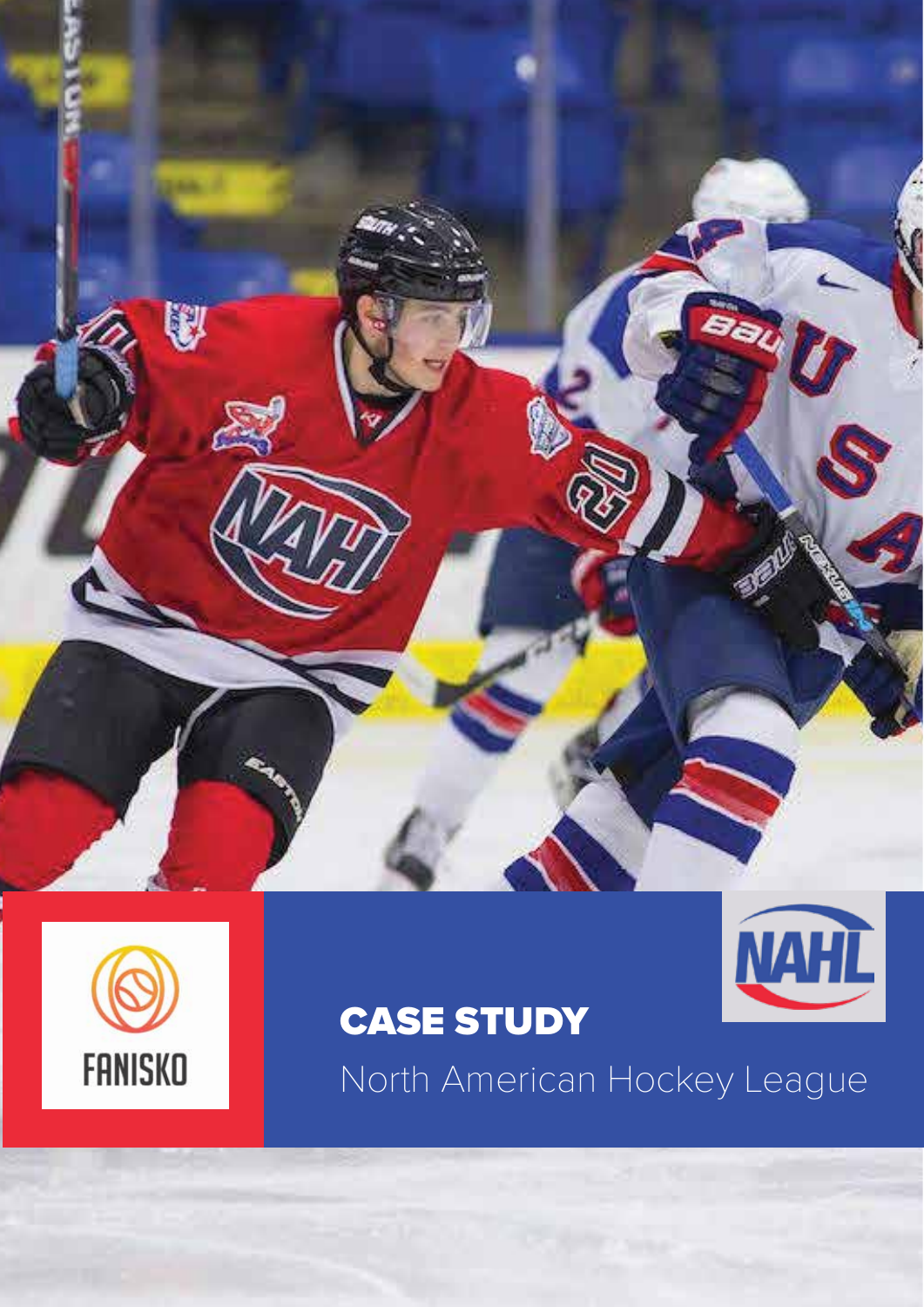



## CASE STUDY



North American Hockey League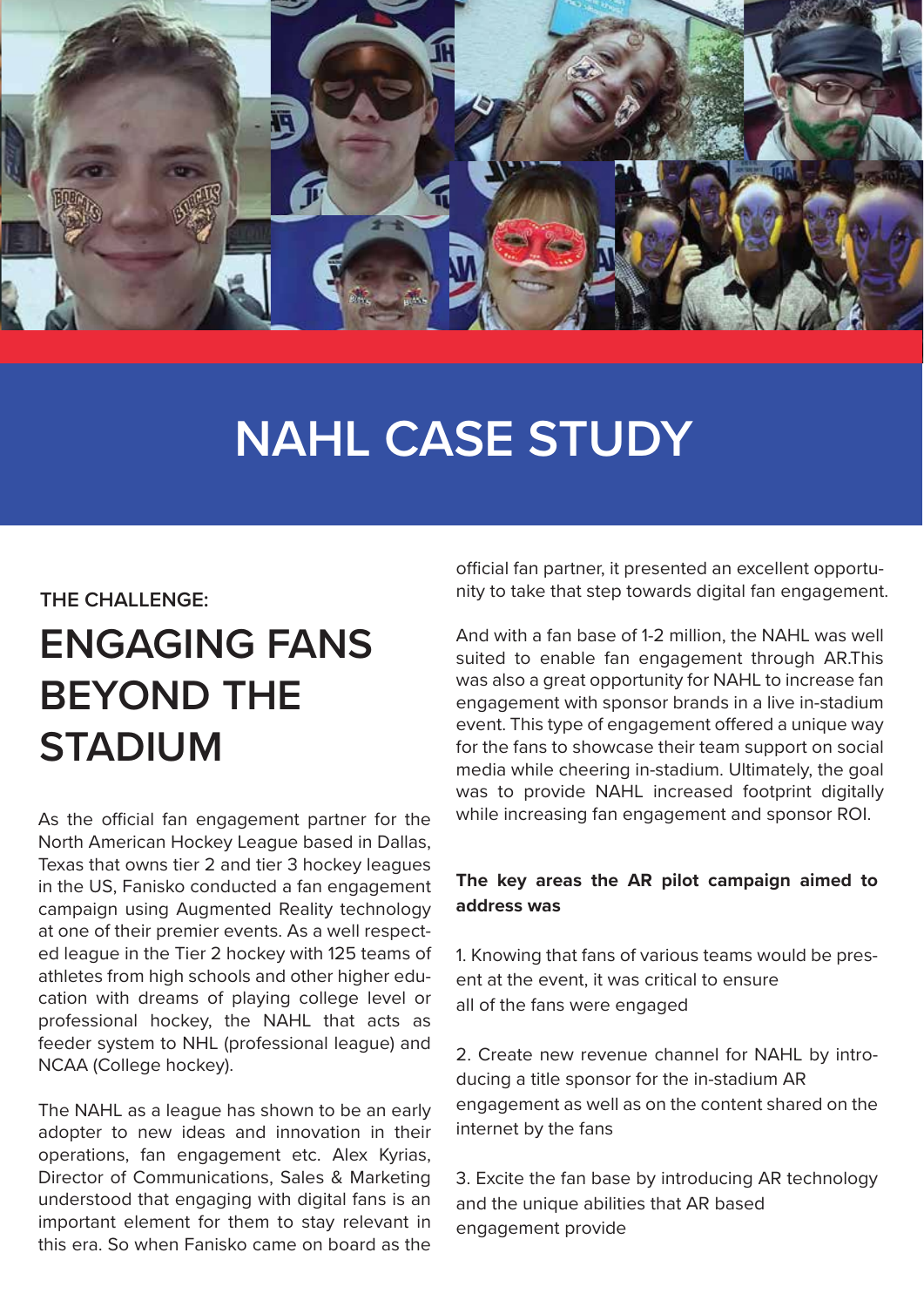

# **NAHL CASE STUDY**

#### **THE CHALLENGE:**

## **ENGAGING FANS BEYOND THE STADIUM**

As the official fan engagement partner for the North American Hockey League based in Dallas, Texas that owns tier 2 and tier 3 hockey leagues in the US, Fanisko conducted a fan engagement campaign using Augmented Reality technology at one of their premier events. As a well respected league in the Tier 2 hockey with 125 teams of athletes from high schools and other higher education with dreams of playing college level or professional hockey, the NAHL that acts as feeder system to NHL (professional league) and NCAA (College hockey).

The NAHL as a league has shown to be an early adopter to new ideas and innovation in their operations, fan engagement etc. Alex Kyrias, Director of Communications, Sales & Marketing understood that engaging with digital fans is an important element for them to stay relevant in this era. So when Fanisko came on board as the official fan partner, it presented an excellent opportunity to take that step towards digital fan engagement.

And with a fan base of 1-2 million, the NAHL was well suited to enable fan engagement through AR.This was also a great opportunity for NAHL to increase fan engagement with sponsor brands in a live in-stadium event. This type of engagement offered a unique way for the fans to showcase their team support on social media while cheering in-stadium. Ultimately, the goal was to provide NAHL increased footprint digitally while increasing fan engagement and sponsor ROI.

#### **The key areas the AR pilot campaign aimed to address was**

1. Knowing that fans of various teams would be present at the event, it was critical to ensure all of the fans were engaged

2. Create new revenue channel for NAHL by introducing a title sponsor for the in-stadium AR engagement as well as on the content shared on the internet by the fans

3. Excite the fan base by introducing AR technology and the unique abilities that AR based engagement provide